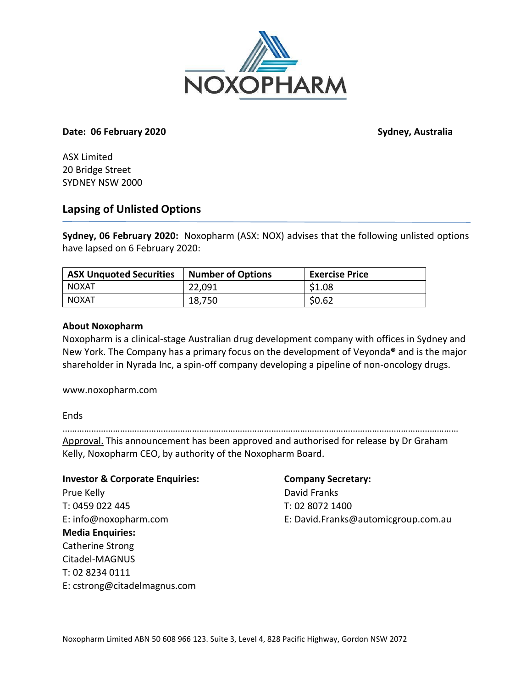

## **Date: 06 February 2020 Sydney, Australia**

ASX Limited 20 Bridge Street SYDNEY NSW 2000

# **Lapsing of Unlisted Options**

**Sydney, 06 February 2020:** Noxopharm (ASX: NOX) advises that the following unlisted options have lapsed on 6 February 2020:

| ASX Unquoted Securities | Number of Options | <b>Exercise Price</b> |
|-------------------------|-------------------|-----------------------|
| NOXAT                   | 22,091            | \$1.08                |
| NOXAT                   | 18,750            | \$0.62                |

# **About Noxopharm**

Noxopharm is a clinical-stage Australian drug development company with offices in Sydney and New York. The Company has a primary focus on the development of Veyonda**®** and is the major shareholder in Nyrada Inc, a spin-off company developing a pipeline of non-oncology drugs.

www.noxopharm.com

**Ends** 

………………………………………………………………………………………………………………………………………………… Approval. This announcement has been approved and authorised for release by Dr Graham Kelly, Noxopharm CEO, by authority of the Noxopharm Board.

**Investor & Corporate Enquiries: Company Secretary:** Prue Kelly **David Franks** T: 0459 022 445 T: 02 8072 1400 **Media Enquiries:** Catherine Strong Citadel-MAGNUS T: 02 8234 0111 E: cstrong@citadelmagnus.com

E: info@noxopharm.com E: David.Franks@automicgroup.com.au